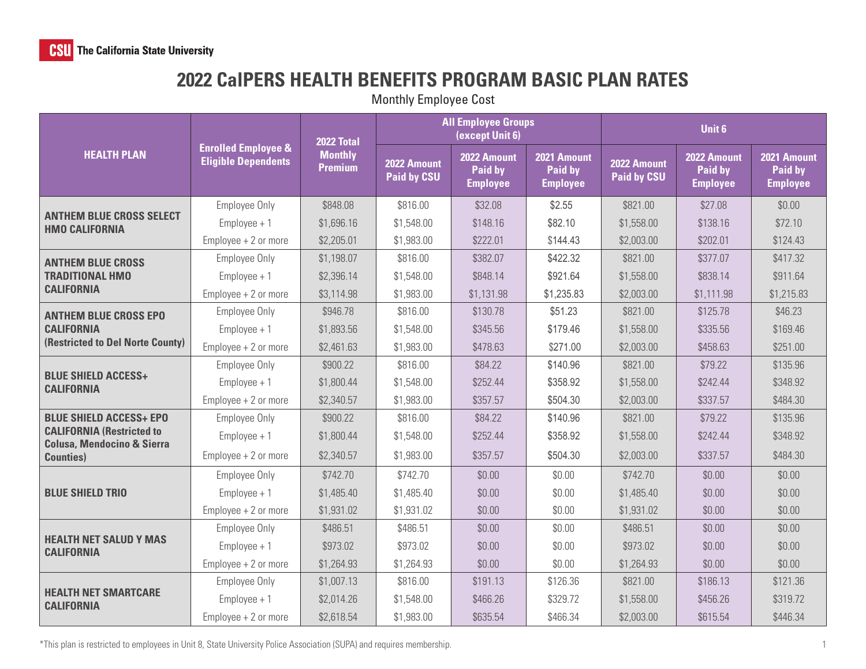## **2022 CalPERS HEALTH BENEFITS PROGRAM BASIC PLAN RATES**

Monthly Employee Cost

| <b>HEALTH PLAN</b>                                                                                                               | <b>Enrolled Employee &amp;</b><br><b>Eligible Dependents</b> | 2022 Total<br><b>Monthly</b><br><b>Premium</b> | <b>All Employee Groups</b><br>(except Unit 6) |                                           |                                           | Unit 6                            |                                           |                                           |
|----------------------------------------------------------------------------------------------------------------------------------|--------------------------------------------------------------|------------------------------------------------|-----------------------------------------------|-------------------------------------------|-------------------------------------------|-----------------------------------|-------------------------------------------|-------------------------------------------|
|                                                                                                                                  |                                                              |                                                | 2022 Amount<br><b>Paid by CSU</b>             | 2022 Amount<br>Paid by<br><b>Employee</b> | 2021 Amount<br>Paid by<br><b>Employee</b> | 2022 Amount<br><b>Paid by CSU</b> | 2022 Amount<br>Paid by<br><b>Employee</b> | 2021 Amount<br>Paid by<br><b>Employee</b> |
| <b>ANTHEM BLUE CROSS SELECT</b><br><b>HMO CALIFORNIA</b>                                                                         | Employee Only                                                | \$848.08                                       | \$816.00                                      | \$32.08                                   | \$2.55                                    | \$821.00                          | \$27.08                                   | \$0.00                                    |
|                                                                                                                                  | $Employee + 1$                                               | \$1,696.16                                     | \$1,548.00                                    | \$148.16                                  | \$82.10                                   | \$1,558.00                        | \$138.16                                  | \$72.10                                   |
|                                                                                                                                  | $Employee + 2$ or more                                       | \$2,205.01                                     | \$1,983.00                                    | \$222.01                                  | \$144.43                                  | \$2,003.00                        | \$202.01                                  | \$124.43                                  |
| <b>ANTHEM BLUE CROSS</b><br><b>TRADITIONAL HMO</b><br><b>CALIFORNIA</b>                                                          | Employee Only                                                | \$1,198.07                                     | \$816.00                                      | \$382.07                                  | \$422.32                                  | \$821.00                          | \$377.07                                  | \$417.32                                  |
|                                                                                                                                  | $Employee + 1$                                               | \$2,396.14                                     | \$1,548.00                                    | \$848.14                                  | \$921.64                                  | \$1,558.00                        | \$838.14                                  | \$911.64                                  |
|                                                                                                                                  | $Employee + 2$ or more                                       | \$3,114.98                                     | \$1,983.00                                    | \$1,131.98                                | \$1,235.83                                | \$2,003.00                        | \$1,111.98                                | \$1,215.83                                |
| <b>ANTHEM BLUE CROSS EPO</b><br><b>CALIFORNIA</b><br>(Restricted to Del Norte County)                                            | Employee Only                                                | \$946.78                                       | \$816.00                                      | \$130.78                                  | \$51.23                                   | \$821.00                          | \$125.78                                  | \$46.23                                   |
|                                                                                                                                  | $Employee + 1$                                               | \$1,893.56                                     | \$1,548.00                                    | \$345.56                                  | \$179.46                                  | \$1,558.00                        | \$335.56                                  | \$169.46                                  |
|                                                                                                                                  | $Employee + 2$ or more                                       | \$2,461.63                                     | \$1,983.00                                    | \$478.63                                  | \$271.00                                  | \$2,003.00                        | \$458.63                                  | \$251.00                                  |
| <b>BLUE SHIELD ACCESS+</b><br><b>CALIFORNIA</b>                                                                                  | Employee Only                                                | \$900.22                                       | \$816.00                                      | \$84.22                                   | \$140.96                                  | \$821.00                          | \$79.22                                   | \$135.96                                  |
|                                                                                                                                  | $Employee + 1$                                               | \$1,800.44                                     | \$1,548.00                                    | \$252.44                                  | \$358.92                                  | \$1,558.00                        | \$242.44                                  | \$348.92                                  |
|                                                                                                                                  | $Employee + 2$ or more                                       | \$2,340.57                                     | \$1,983.00                                    | \$357.57                                  | \$504.30                                  | \$2,003.00                        | \$337.57                                  | \$484.30                                  |
| <b>BLUE SHIELD ACCESS+ EPO</b><br><b>CALIFORNIA (Restricted to</b><br><b>Colusa, Mendocino &amp; Sierra</b><br><b>Counties</b> ) | Employee Only                                                | \$900.22                                       | \$816.00                                      | \$84.22                                   | \$140.96                                  | \$821.00                          | \$79.22                                   | \$135.96                                  |
|                                                                                                                                  | $Employee + 1$                                               | \$1,800.44                                     | \$1,548.00                                    | \$252.44                                  | \$358.92                                  | \$1,558.00                        | \$242.44                                  | \$348.92                                  |
|                                                                                                                                  | $Employee + 2$ or more                                       | \$2,340.57                                     | \$1,983.00                                    | \$357.57                                  | \$504.30                                  | \$2,003.00                        | \$337.57                                  | \$484.30                                  |
| <b>BLUE SHIELD TRIO</b>                                                                                                          | <b>Employee Only</b>                                         | \$742.70                                       | \$742.70                                      | \$0.00                                    | \$0.00                                    | \$742.70                          | \$0.00                                    | \$0.00                                    |
|                                                                                                                                  | $Employee + 1$                                               | \$1,485.40                                     | \$1,485.40                                    | \$0.00                                    | \$0.00                                    | \$1,485.40                        | \$0.00                                    | \$0.00                                    |
|                                                                                                                                  | $Employee + 2$ or more                                       | \$1,931.02                                     | \$1,931.02                                    | \$0.00                                    | \$0.00                                    | \$1,931.02                        | \$0.00                                    | \$0.00                                    |
| <b>HEALTH NET SALUD Y MAS</b><br><b>CALIFORNIA</b>                                                                               | Employee Only                                                | \$486.51                                       | \$486.51                                      | \$0.00                                    | \$0.00                                    | \$486.51                          | \$0.00                                    | \$0.00                                    |
|                                                                                                                                  | $Employee + 1$                                               | \$973.02                                       | \$973.02                                      | \$0.00                                    | \$0.00                                    | \$973.02                          | \$0.00                                    | \$0.00                                    |
|                                                                                                                                  | $Employee + 2$ or more                                       | \$1,264.93                                     | \$1,264.93                                    | \$0.00                                    | \$0.00                                    | \$1,264.93                        | \$0.00                                    | \$0.00                                    |
| <b>HEALTH NET SMARTCARE</b><br><b>CALIFORNIA</b>                                                                                 | Employee Only                                                | \$1,007.13                                     | \$816.00                                      | \$191.13                                  | \$126.36                                  | \$821.00                          | \$186.13                                  | \$121.36                                  |
|                                                                                                                                  | $Employee + 1$                                               | \$2,014.26                                     | \$1,548.00                                    | \$466.26                                  | \$329.72                                  | \$1,558.00                        | \$456.26                                  | \$319.72                                  |
|                                                                                                                                  | $Employee + 2$ or more                                       | \$2,618.54                                     | \$1,983.00                                    | \$635.54                                  | \$466.34                                  | \$2,003.00                        | \$615.54                                  | \$446.34                                  |

\*This plan is restricted to employees in Unit 8, State University Police Association (SUPA) and requires membership.